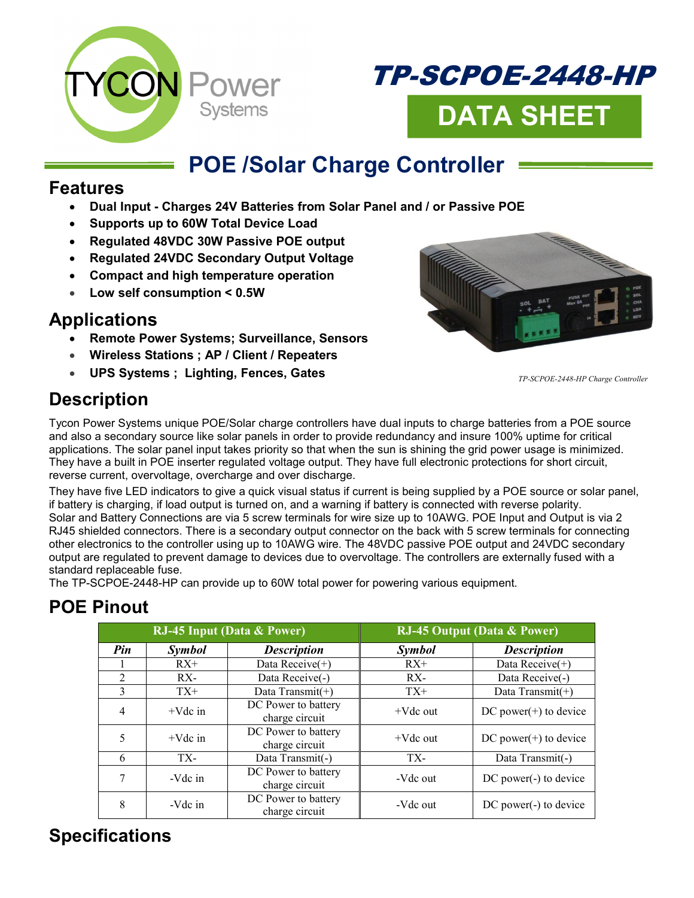



## **POE /Solar Charge Controller**

#### **Features**

- **Dual Input Charges 24V Batteries from Solar Panel and / or Passive POE**
- **Supports up to 60W Total Device Load**
- **Regulated 48VDC 30W Passive POE output**
- **Regulated 24VDC Secondary Output Voltage**
- **Compact and high temperature operation**
- **Low self consumption < 0.5W**

#### **Applications**

- **Remote Power Systems; Surveillance, Sensors**
- **Wireless Stations ; AP / Client / Repeaters**
- **UPS Systems ; Lighting, Fences, Gates**



*TP-SCPOE-2448-HP Charge Controller* 

## **Description**

Tycon Power Systems unique POE/Solar charge controllers have dual inputs to charge batteries from a POE source and also a secondary source like solar panels in order to provide redundancy and insure 100% uptime for critical applications. The solar panel input takes priority so that when the sun is shining the grid power usage is minimized. They have a built in POE inserter regulated voltage output. They have full electronic protections for short circuit, reverse current, overvoltage, overcharge and over discharge.

They have five LED indicators to give a quick visual status if current is being supplied by a POE source or solar panel, if battery is charging, if load output is turned on, and a warning if battery is connected with reverse polarity. Solar and Battery Connections are via 5 screw terminals for wire size up to 10AWG. POE Input and Output is via 2 RJ45 shielded connectors. There is a secondary output connector on the back with 5 screw terminals for connecting other electronics to the controller using up to 10AWG wire. The 48VDC passive POE output and 24VDC secondary output are regulated to prevent damage to devices due to overvoltage. The controllers are externally fused with a standard replaceable fuse.

The TP-SCPOE-2448-HP can provide up to 60W total power for powering various equipment.

## **POE Pinout**

| <b>RJ-45 Input (Data &amp; Power)</b> |               |                                       | <b>RJ-45 Output (Data &amp; Power)</b> |                          |
|---------------------------------------|---------------|---------------------------------------|----------------------------------------|--------------------------|
| Pin                                   | <b>Symbol</b> | <b>Description</b>                    | Symbol                                 | <b>Description</b>       |
|                                       | $RX+$         | Data Receive(+)                       | $RX+$                                  | Data Receive $(+)$       |
| $\mathfrak{D}$                        | $RX -$        | Data Receive(-)                       | RX-                                    | Data Receive(-)          |
| 3                                     | $TX+$         | Data Transmit(+)                      | $TX+$                                  | Data Transmit(+)         |
| $\overline{4}$                        | $+Vdc$ in     | DC Power to battery<br>charge circuit | $+Vdc$ out                             | DC power $(+)$ to device |
| 5                                     | $+Vdc$ in     | DC Power to battery<br>charge circuit | $+Vdc$ out                             | $DC power(+) to device$  |
| 6                                     | TX-           | Data Transmit(-)                      | TX-                                    | Data Transmit(-)         |
|                                       | -Vdc in       | DC Power to battery<br>charge circuit | -Vdc out                               | DC power(-) to device    |
| 8                                     | -Vdc in       | DC Power to battery<br>charge circuit | -Vdc out                               | $DC power(-) to device$  |

#### **Specifications**